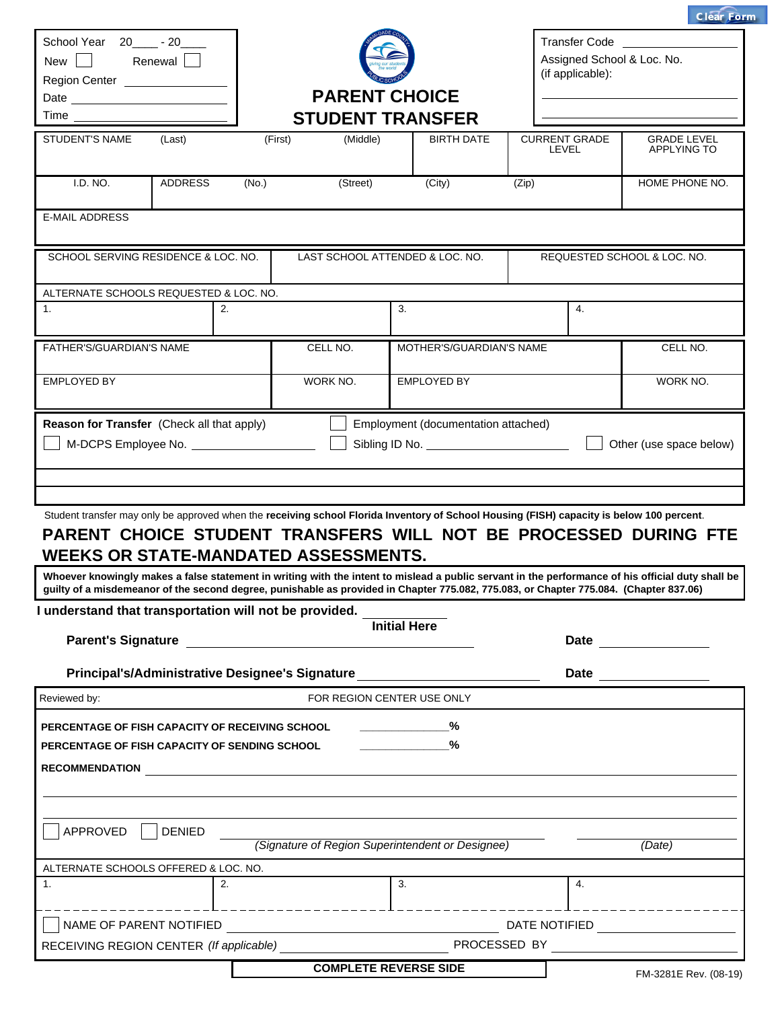|                                                                                                                                                                                                                                                                                                                                                                                                                                                                                                                                                                                                                                                                                     |       |                                                  |                                     |                                            | <b>Clear Form</b>                                  |  |  |
|-------------------------------------------------------------------------------------------------------------------------------------------------------------------------------------------------------------------------------------------------------------------------------------------------------------------------------------------------------------------------------------------------------------------------------------------------------------------------------------------------------------------------------------------------------------------------------------------------------------------------------------------------------------------------------------|-------|--------------------------------------------------|-------------------------------------|--------------------------------------------|----------------------------------------------------|--|--|
| School Year 20______ - 20_____<br>New Renewal<br>Region Center ________________                                                                                                                                                                                                                                                                                                                                                                                                                                                                                                                                                                                                     |       |                                                  |                                     | (if applicable):                           | <b>Transfer Code</b><br>Assigned School & Loc. No. |  |  |
|                                                                                                                                                                                                                                                                                                                                                                                                                                                                                                                                                                                                                                                                                     |       | <b>PARENT CHOICE</b>                             |                                     |                                            |                                                    |  |  |
|                                                                                                                                                                                                                                                                                                                                                                                                                                                                                                                                                                                                                                                                                     |       | <b>STUDENT TRANSFER</b>                          |                                     |                                            |                                                    |  |  |
| <b>STUDENT'S NAME</b><br>(Last)                                                                                                                                                                                                                                                                                                                                                                                                                                                                                                                                                                                                                                                     |       | (First)<br>(Middle)                              | <b>BIRTH DATE</b>                   | <b>CURRENT GRADE</b><br><b>LEVEL</b>       | <b>GRADE LEVEL</b><br><b>APPLYING TO</b>           |  |  |
| I.D. NO.<br>ADDRESS                                                                                                                                                                                                                                                                                                                                                                                                                                                                                                                                                                                                                                                                 | (No.) | (Street)                                         | (City)                              | (Zip)                                      | HOME PHONE NO.                                     |  |  |
| <b>E-MAIL ADDRESS</b>                                                                                                                                                                                                                                                                                                                                                                                                                                                                                                                                                                                                                                                               |       |                                                  |                                     |                                            |                                                    |  |  |
| SCHOOL SERVING RESIDENCE & LOC. NO.                                                                                                                                                                                                                                                                                                                                                                                                                                                                                                                                                                                                                                                 |       | LAST SCHOOL ATTENDED & LOC. NO.                  |                                     |                                            | REQUESTED SCHOOL & LOC. NO.                        |  |  |
| ALTERNATE SCHOOLS REQUESTED & LOC. NO.                                                                                                                                                                                                                                                                                                                                                                                                                                                                                                                                                                                                                                              |       |                                                  |                                     |                                            |                                                    |  |  |
| 1.                                                                                                                                                                                                                                                                                                                                                                                                                                                                                                                                                                                                                                                                                  | 2.    |                                                  | 3.                                  | $\overline{4}$ .                           |                                                    |  |  |
| FATHER'S/GUARDIAN'S NAME                                                                                                                                                                                                                                                                                                                                                                                                                                                                                                                                                                                                                                                            |       | CELL NO.                                         | MOTHER'S/GUARDIAN'S NAME            |                                            | CELL NO.                                           |  |  |
| <b>EMPLOYED BY</b>                                                                                                                                                                                                                                                                                                                                                                                                                                                                                                                                                                                                                                                                  |       | WORK NO.                                         | <b>EMPLOYED BY</b>                  |                                            | WORK NO.                                           |  |  |
|                                                                                                                                                                                                                                                                                                                                                                                                                                                                                                                                                                                                                                                                                     |       |                                                  | Employment (documentation attached) |                                            | Other (use space below)                            |  |  |
|                                                                                                                                                                                                                                                                                                                                                                                                                                                                                                                                                                                                                                                                                     |       |                                                  |                                     |                                            |                                                    |  |  |
|                                                                                                                                                                                                                                                                                                                                                                                                                                                                                                                                                                                                                                                                                     |       |                                                  | <b>Initial Here</b>                 |                                            | Date ________________                              |  |  |
| Principal's/Administrative Designee's Signature                                                                                                                                                                                                                                                                                                                                                                                                                                                                                                                                                                                                                                     |       |                                                  |                                     |                                            |                                                    |  |  |
| Reason for Transfer (Check all that apply)<br>Student transfer may only be approved when the receiving school Florida Inventory of School Housing (FISH) capacity is below 100 percent.<br>PARENT CHOICE STUDENT TRANSFERS WILL NOT BE PROCESSED DURING FTE<br><b>WEEKS OR STATE-MANDATED ASSESSMENTS.</b><br>Whoever knowingly makes a false statement in writing with the intent to mislead a public servant in the performance of his official duty shall be<br>guilty of a misdemeanor of the second degree, punishable as provided in Chapter 775.082, 775.083, or Chapter 775.084. (Chapter 837.06)<br>I understand that transportation will not be provided.<br>Reviewed by: |       | FOR REGION CENTER USE ONLY                       |                                     | Date _____                                 |                                                    |  |  |
| PERCENTAGE OF FISH CAPACITY OF RECEIVING SCHOOL                                                                                                                                                                                                                                                                                                                                                                                                                                                                                                                                                                                                                                     |       |                                                  | $\sim$ $\sim$ $\sim$ $\sim$         |                                            |                                                    |  |  |
| PERCENTAGE OF FISH CAPACITY OF SENDING SCHOOL                                                                                                                                                                                                                                                                                                                                                                                                                                                                                                                                                                                                                                       |       |                                                  | %                                   |                                            |                                                    |  |  |
|                                                                                                                                                                                                                                                                                                                                                                                                                                                                                                                                                                                                                                                                                     |       |                                                  |                                     |                                            |                                                    |  |  |
|                                                                                                                                                                                                                                                                                                                                                                                                                                                                                                                                                                                                                                                                                     |       |                                                  |                                     |                                            |                                                    |  |  |
| APPROVED<br><b>DENIED</b>                                                                                                                                                                                                                                                                                                                                                                                                                                                                                                                                                                                                                                                           |       | (Signature of Region Superintendent or Designee) |                                     |                                            | (Date)                                             |  |  |
|                                                                                                                                                                                                                                                                                                                                                                                                                                                                                                                                                                                                                                                                                     |       |                                                  |                                     |                                            |                                                    |  |  |
|                                                                                                                                                                                                                                                                                                                                                                                                                                                                                                                                                                                                                                                                                     | 2.    |                                                  | 3.                                  | 4.                                         |                                                    |  |  |
| NAME OF PARENT NOTIFIED                                                                                                                                                                                                                                                                                                                                                                                                                                                                                                                                                                                                                                                             |       |                                                  |                                     |                                            |                                                    |  |  |
| ALTERNATE SCHOOLS OFFERED & LOC. NO.<br>1.                                                                                                                                                                                                                                                                                                                                                                                                                                                                                                                                                                                                                                          |       |                                                  |                                     | DATE NOTIFIED <u>_____________________</u> | ____1___________________                           |  |  |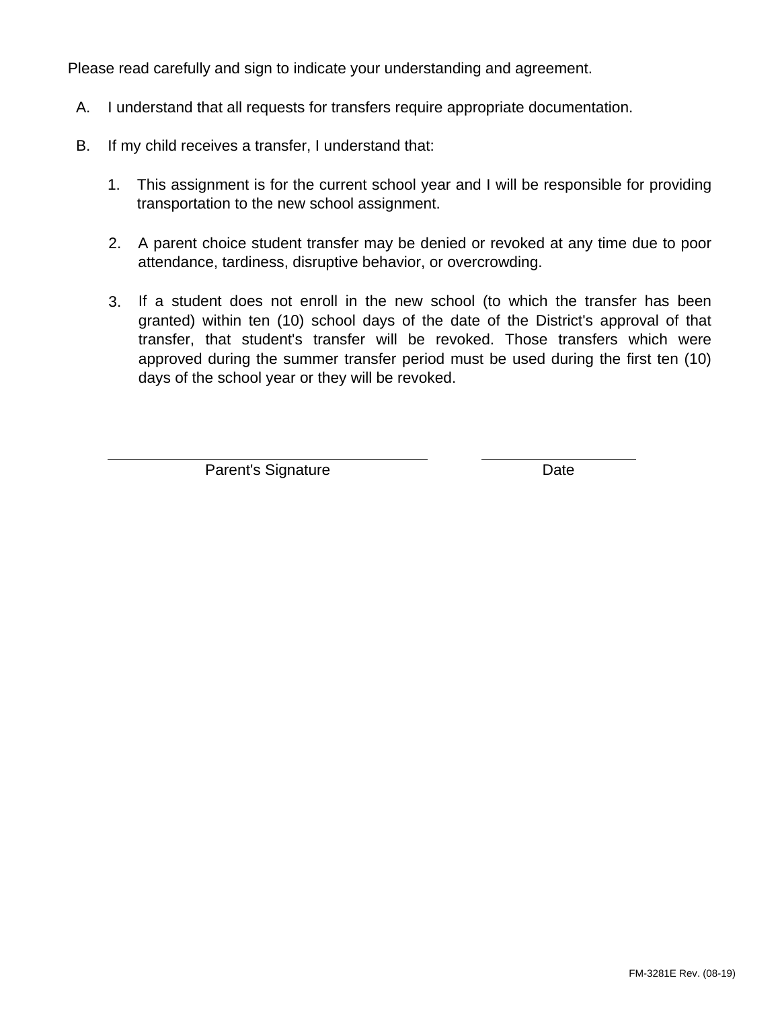Please read carefully and sign to indicate your understanding and agreement.

- A. I understand that all requests for transfers require appropriate documentation.
- B. If my child receives a transfer, I understand that:
	- 1. This assignment is for the current school year and I will be responsible for providing transportation to the new school assignment.
	- 2. A parent choice student transfer may be denied or revoked at any time due to poor attendance, tardiness, disruptive behavior, or overcrowding.
	- 3. If a student does not enroll in the new school (to which the transfer has been granted) within ten (10) school days of the date of the District's approval of that transfer, that student's transfer will be revoked. Those transfers which were approved during the summer transfer period must be used during the first ten (10) days of the school year or they will be revoked.

Parent's Signature Date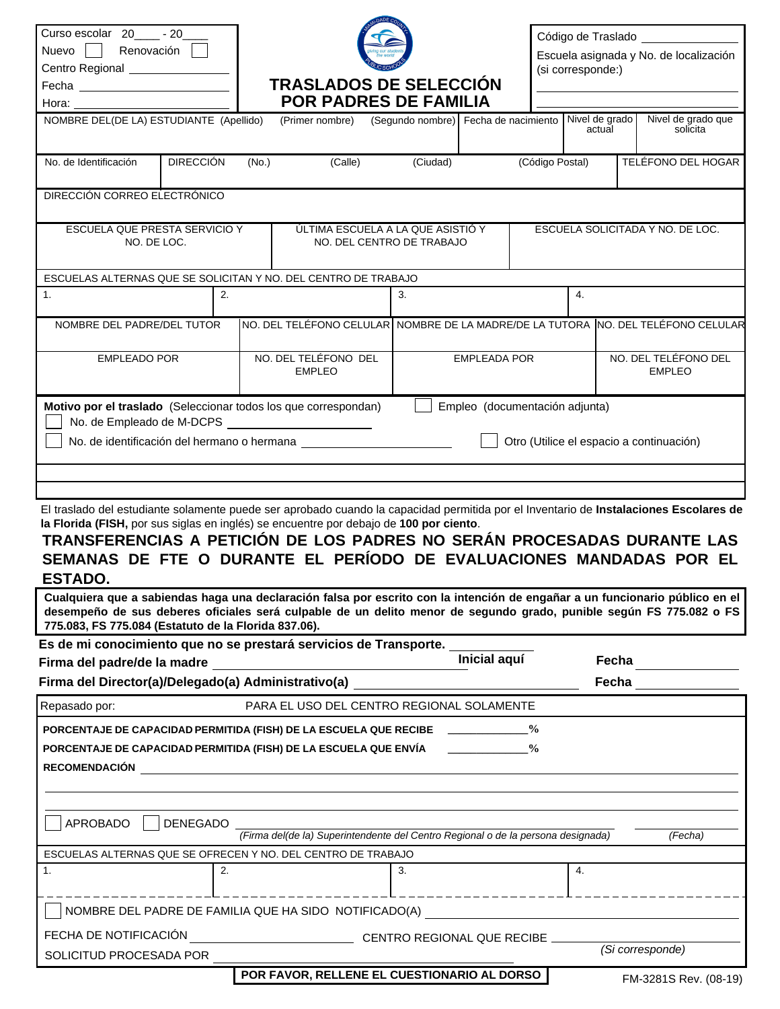| Curso escolar 20 _____ - 20___<br>Nuevo Renovación<br>Centro Regional ________________<br>Hora: The Contract of the Contract of the Contract of the Contract of the Contract of the Contract of the Contract of the Contract of the Contract of the Contract of the Contract of the Contract of the Contract of the Cont                                                                                                                                                                                                                                                                                                                                                                                           |       | <b>TRASLADOS DE SELECCIÓN</b><br><b>POR PADRES DE FAMILIA</b>                     |                                                                |                 | Código de Traslado _____________<br>Escuela asignada y No. de localización<br>(si corresponde:) |                                  |  |  |
|--------------------------------------------------------------------------------------------------------------------------------------------------------------------------------------------------------------------------------------------------------------------------------------------------------------------------------------------------------------------------------------------------------------------------------------------------------------------------------------------------------------------------------------------------------------------------------------------------------------------------------------------------------------------------------------------------------------------|-------|-----------------------------------------------------------------------------------|----------------------------------------------------------------|-----------------|-------------------------------------------------------------------------------------------------|----------------------------------|--|--|
| NOMBRE DEL(DE LA) ESTUDIANTE (Apellido)                                                                                                                                                                                                                                                                                                                                                                                                                                                                                                                                                                                                                                                                            |       | (Primer nombre)                                                                   | (Segundo nombre) Fecha de nacimiento Nivel de grado            |                 | actual                                                                                          | Nivel de grado que<br>solicita   |  |  |
| <b>DIRECCIÓN</b><br>No. de Identificación                                                                                                                                                                                                                                                                                                                                                                                                                                                                                                                                                                                                                                                                          | (No.) | (Calle)                                                                           | (Ciudad)                                                       | (Código Postal) |                                                                                                 | TELÉFONO DEL HOGAR               |  |  |
| DIRECCIÓN CORREO ELECTRÓNICO                                                                                                                                                                                                                                                                                                                                                                                                                                                                                                                                                                                                                                                                                       |       |                                                                                   |                                                                |                 |                                                                                                 |                                  |  |  |
| ESCUELA QUE PRESTA SERVICIO Y<br>NO. DE LOC.                                                                                                                                                                                                                                                                                                                                                                                                                                                                                                                                                                                                                                                                       |       |                                                                                   | ÚLTIMA ESCUELA A LA QUE ASISTIÓ Y<br>NO. DEL CENTRO DE TRABAJO |                 |                                                                                                 | ESCUELA SOLICITADA Y NO. DE LOC. |  |  |
| ESCUELAS ALTERNAS QUE SE SOLICITAN Y NO. DEL CENTRO DE TRABAJO                                                                                                                                                                                                                                                                                                                                                                                                                                                                                                                                                                                                                                                     |       |                                                                                   |                                                                |                 |                                                                                                 |                                  |  |  |
| 1.                                                                                                                                                                                                                                                                                                                                                                                                                                                                                                                                                                                                                                                                                                                 | 2.    |                                                                                   | 3.                                                             |                 | 4.                                                                                              |                                  |  |  |
| NOMBRE DEL PADRE/DEL TUTOR                                                                                                                                                                                                                                                                                                                                                                                                                                                                                                                                                                                                                                                                                         |       | NO. DEL TELÉFONO CELULAR NOMBRE DE LA MADRE/DE LA TUTORA NO. DEL TELÉFONO CELULAR |                                                                |                 |                                                                                                 |                                  |  |  |
| <b>EMPLEADO POR</b>                                                                                                                                                                                                                                                                                                                                                                                                                                                                                                                                                                                                                                                                                                |       | NO. DEL TELÉFONO DEL<br><b>EMPLEO</b>                                             | <b>EMPLEADA POR</b>                                            |                 | NO. DEL TELÉFONO DEL<br><b>EMPLEO</b>                                                           |                                  |  |  |
|                                                                                                                                                                                                                                                                                                                                                                                                                                                                                                                                                                                                                                                                                                                    |       |                                                                                   |                                                                |                 | Otro (Utilice el espacio a continuación)                                                        |                                  |  |  |
| El traslado del estudiante solamente puede ser aprobado cuando la capacidad permitida por el Inventario de Instalaciones Escolares de<br>la Florida (FISH, por sus siglas en inglés) se encuentre por debajo de 100 por ciento.<br>TRANSFERENCIAS A PETICIÓN DE LOS PADRES NO SERÁN PROCESADAS DURANTE LAS<br>SEMANAS DE FTE O DURANTE EL PERÍODO DE EVALUACIONES MANDADAS POR EL<br><b>ESTADO.</b><br>Cualquiera que a sabiendas haga una declaración falsa por escrito con la intención de engañar a un funcionario público en el<br>desempeño de sus deberes oficiales será culpable de un delito menor de segundo grado, punible según FS 775.082 o FS<br>775.083, FS 775.084 (Estatuto de la Florida 837.06). |       |                                                                                   |                                                                |                 |                                                                                                 |                                  |  |  |
| Es de mi conocimiento que no se prestará servicios de Transporte.                                                                                                                                                                                                                                                                                                                                                                                                                                                                                                                                                                                                                                                  |       |                                                                                   |                                                                |                 |                                                                                                 |                                  |  |  |
|                                                                                                                                                                                                                                                                                                                                                                                                                                                                                                                                                                                                                                                                                                                    |       |                                                                                   | <b>Inicial aquí</b>                                            |                 | Fecha                                                                                           |                                  |  |  |
| Firma del Director(a)/Delegado(a) Administrativo(a)                                                                                                                                                                                                                                                                                                                                                                                                                                                                                                                                                                                                                                                                |       |                                                                                   |                                                                |                 | Fecha                                                                                           |                                  |  |  |
| Repasado por:<br>PORCENTAJE DE CAPACIDAD PERMITIDA (FISH) DE LA ESCUELA QUE RECIBE _____________<br>PORCENTAJE DE CAPACIDAD PERMITIDA (FISH) DE LA ESCUELA QUE ENVÍA<br><b>RECOMENDACIÓN</b>                                                                                                                                                                                                                                                                                                                                                                                                                                                                                                                       |       | PARA EL USO DEL CENTRO REGIONAL SOLAMENTE                                         |                                                                | $\frac{6}{9}$   |                                                                                                 |                                  |  |  |
| APROBADO<br><b>DENEGADO</b>                                                                                                                                                                                                                                                                                                                                                                                                                                                                                                                                                                                                                                                                                        |       | (Firma del(de la) Superintendente del Centro Regional o de la persona designada)  |                                                                |                 |                                                                                                 | (Fecha)                          |  |  |
| ESCUELAS ALTERNAS QUE SE OFRECEN Y NO. DEL CENTRO DE TRABAJO                                                                                                                                                                                                                                                                                                                                                                                                                                                                                                                                                                                                                                                       |       |                                                                                   |                                                                |                 |                                                                                                 |                                  |  |  |
| 1.                                                                                                                                                                                                                                                                                                                                                                                                                                                                                                                                                                                                                                                                                                                 | 2.    |                                                                                   | 3.                                                             |                 | 4.                                                                                              |                                  |  |  |
| NOMBRE DEL PADRE DE FAMILIA QUE HA SIDO NOTIFICADO(A)                                                                                                                                                                                                                                                                                                                                                                                                                                                                                                                                                                                                                                                              |       |                                                                                   |                                                                |                 |                                                                                                 |                                  |  |  |

**FM-3281S Rev. (08-19) POR FAVOR, RELLENE EL CUESTIONARIO AL DORSO**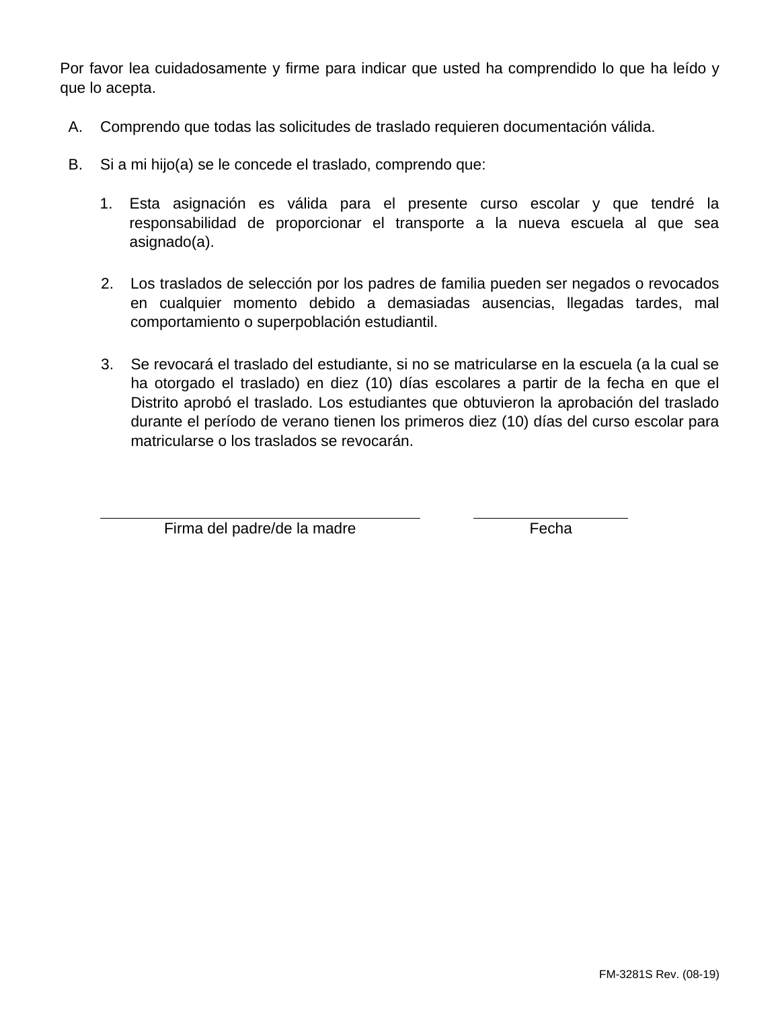Por favor lea cuidadosamente y firme para indicar que usted ha comprendido lo que ha leído y que lo acepta.

- A. Comprendo que todas las solicitudes de traslado requieren documentación válida.
- B. Si a mi hijo(a) se le concede el traslado, comprendo que:
	- 1. Esta asignación es válida para el presente curso escolar y que tendré la responsabilidad de proporcionar el transporte a la nueva escuela al que sea asignado(a).
	- 2. Los traslados de selección por los padres de familia pueden ser negados o revocados en cualquier momento debido a demasiadas ausencias, llegadas tardes, mal comportamiento o superpoblación estudiantil.
	- 3. Se revocará el traslado del estudiante, si no se matricularse en la escuela (a la cual se ha otorgado el traslado) en diez (10) días escolares a partir de la fecha en que el Distrito aprobó el traslado. Los estudiantes que obtuvieron la aprobación del traslado durante el período de verano tienen los primeros diez (10) días del curso escolar para matricularse o los traslados se revocarán.

Firma del padre/de la madre entre entre a Fecha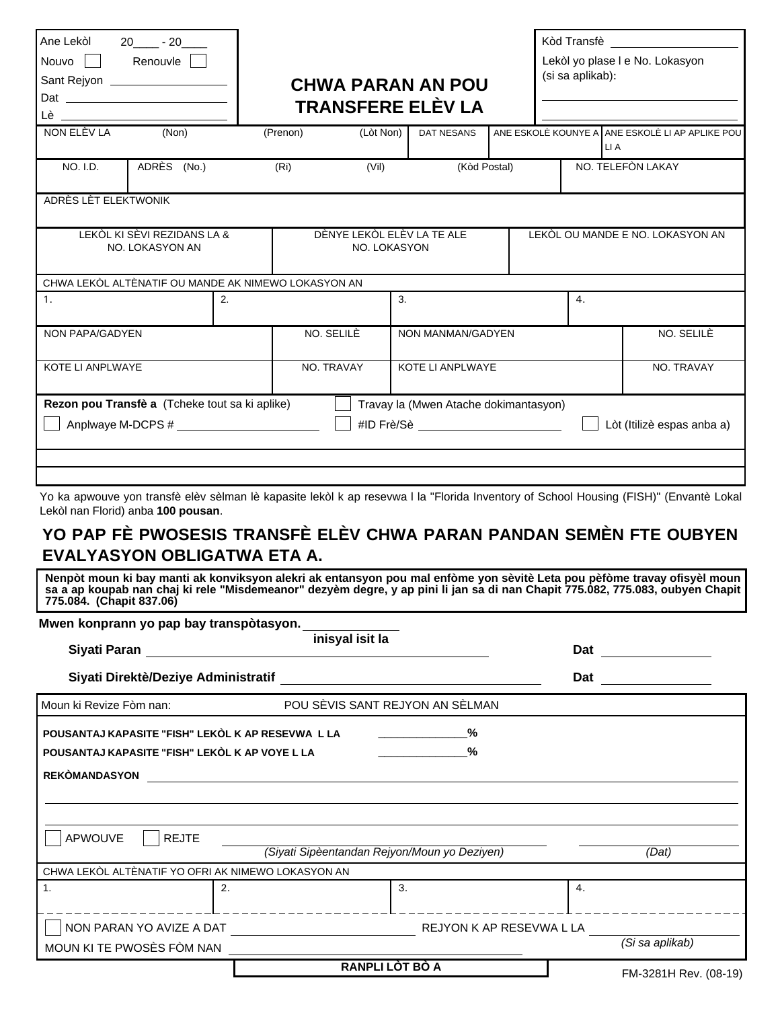| Ane Lekòl 20______ - 20_____<br>Nouvo Renouvle<br>Sant Rejyon ____________________<br><u>Lè _________________________</u> |                                                                     |    |                                            |           | <b>CHWA PARAN AN POU</b><br><b>TRANSFERE ELÈV LA</b> |  | (si sa aplikab): |                                  | Kòd Transfè<br>Lekòl yo plase I e No. Lokasyon  |
|---------------------------------------------------------------------------------------------------------------------------|---------------------------------------------------------------------|----|--------------------------------------------|-----------|------------------------------------------------------|--|------------------|----------------------------------|-------------------------------------------------|
| NON ELÈV LA                                                                                                               | (Non)                                                               |    | (Prenon)                                   | (Lòt Non) | DAT NESANS                                           |  |                  | LI A                             | ANE ESKOLÈ KOUNYE A ANE ESKOLÈ LI AP APLIKE POU |
| <b>NO. I.D.</b>                                                                                                           | ADRÈS (No.)                                                         |    | (Ri)                                       | (Vil)     | (Kòd Postal)                                         |  |                  |                                  | NO. TELEFÒN LAKAY                               |
| ADRÈS LÈT ELEKTWONIK                                                                                                      |                                                                     |    |                                            |           |                                                      |  |                  |                                  |                                                 |
| LEKOL KI SÈVI REZIDANS LA &<br>NO. LOKASYON AN                                                                            |                                                                     |    | DÈNYE LEKÒL ELÈV LA TE ALE<br>NO. LOKASYON |           |                                                      |  |                  | LEKÒL OU MANDE E NO. LOKASYON AN |                                                 |
|                                                                                                                           | CHWA LEKÒL ALTÈNATIF OU MANDE AK NIMEWO LOKASYON AN                 |    |                                            |           |                                                      |  |                  |                                  |                                                 |
| 1.                                                                                                                        |                                                                     | 2. |                                            | 3.        |                                                      |  | 4.               |                                  |                                                 |
| <b>NON PAPA/GADYEN</b>                                                                                                    |                                                                     |    | NO. SELILÈ                                 |           | NON MANMAN/GADYEN                                    |  |                  |                                  | NO. SELILÈ                                      |
| KOTE LI ANPLWAYE                                                                                                          |                                                                     |    | NO. TRAVAY                                 |           | KOTE LI ANPLWAYE                                     |  |                  |                                  | NO. TRAVAY                                      |
|                                                                                                                           | Rezon pou Transfè a (Tcheke tout sa ki aplike)<br>Anplwaye M-DCPS # |    |                                            |           | Travay la (Mwen Atache dokimantasyon)<br>#ID Frè/Sè  |  |                  |                                  | Lòt (Itilizè espas anba a)                      |
|                                                                                                                           |                                                                     |    |                                            |           |                                                      |  |                  |                                  |                                                 |
|                                                                                                                           |                                                                     |    |                                            |           |                                                      |  |                  |                                  |                                                 |

Yo ka apwouve yon transfè elèv sèlman lè kapasite lekòl k ap resevwa l la "Florida Inventory of School Housing (FISH)" (Envantè Lokal Lekòl nan Florid) anba **100 pousan**.

## **YO PAP FÈ PWOSESIS TRANSFÈ ELÈV CHWA PARAN PANDAN SEMÈN FTE OUBYEN EVALYASYON OBLIGATWA ETA A.**

**Nenpòt moun ki bay manti ak konviksyon alekri ak entansyon pou mal enfòme yon sèvitè Leta pou pèfòme travay ofisyèl moun sa a ap koupab nan chaj ki rele "Misdemeanor" dezyèm degre, y ap pini li jan sa di nan Chapit 775.082, 775.083, oubyen Chapit 775.084. (Chapit 837.06)**

| Mwen konprann yo pap bay transpòtasyon.            |                                              |     |                       |
|----------------------------------------------------|----------------------------------------------|-----|-----------------------|
| Siyati Paran                                       | inisyal isit la                              | Dat |                       |
| Siyati Direktè/Deziye Administratif                |                                              | Dat |                       |
| Moun ki Revize Fòm nan:                            | POU SÈVIS SANT REJYON AN SÈLMAN              |     |                       |
| POUSANTAJ KAPASITE "FISH" LEKÒL K AP RESEVWA L LA  | %                                            |     |                       |
| POUSANTAJ KAPASITE "FISH" LEKÒL K AP VOYE L LA     | $\%$                                         |     |                       |
| <b>REKÒMANDASYON</b>                               |                                              |     |                       |
|                                                    |                                              |     |                       |
|                                                    |                                              |     |                       |
| APWOUVE<br><b>REJTE</b>                            |                                              |     |                       |
|                                                    | (Siyati Sipèentandan Rejyon/Moun yo Deziyen) |     | (Dat)                 |
| CHWA LEKÒL ALTÈNATIF YO OFRI AK NIMEWO LOKASYON AN |                                              |     |                       |
| $\mathbf{1}$ .<br>2.                               | 3.                                           | 4.  |                       |
| NON PARAN YO AVIZE A DAT                           | REJYON K AP RESEVWA L LA                     |     |                       |
| MOUN KI TE PWOSÈS FÒM NAN                          |                                              |     | (Si sa aplikab)       |
|                                                    | RANPLI LÒT BÒ A                              |     | FM-3281H Rev. (08-19) |